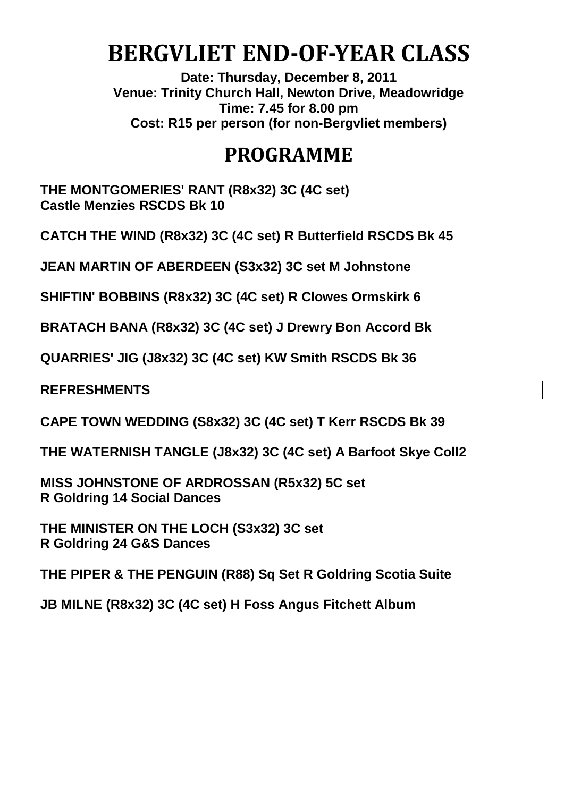# **BERGVLIET END-OF-YEAR CLASS**

**Date: Thursday, December 8, 2011 Venue: Trinity Church Hall, Newton Drive, Meadowridge Time: 7.45 for 8.00 pm Cost: R15 per person (for non-Bergvliet members)**

## **PROGRAMME**

**THE MONTGOMERIES' RANT (R8x32) 3C (4C set) Castle Menzies RSCDS Bk 10**

**CATCH THE WIND (R8x32) 3C (4C set) R Butterfield RSCDS Bk 45**

**JEAN MARTIN OF ABERDEEN (S3x32) 3C set M Johnstone**

**SHIFTIN' BOBBINS (R8x32) 3C (4C set) R Clowes Ormskirk 6**

**BRATACH BANA (R8x32) 3C (4C set) J Drewry Bon Accord Bk**

**QUARRIES' JIG (J8x32) 3C (4C set) KW Smith RSCDS Bk 36**

**REFRESHMENTS**

**CAPE TOWN WEDDING (S8x32) 3C (4C set) T Kerr RSCDS Bk 39**

**THE WATERNISH TANGLE (J8x32) 3C (4C set) A Barfoot Skye Coll2**

**MISS JOHNSTONE OF ARDROSSAN (R5x32) 5C set R Goldring 14 Social Dances**

**THE MINISTER ON THE LOCH (S3x32) 3C set R Goldring 24 G&S Dances**

**THE PIPER & THE PENGUIN (R88) Sq Set R Goldring Scotia Suite**

**JB MILNE (R8x32) 3C (4C set) H Foss Angus Fitchett Album**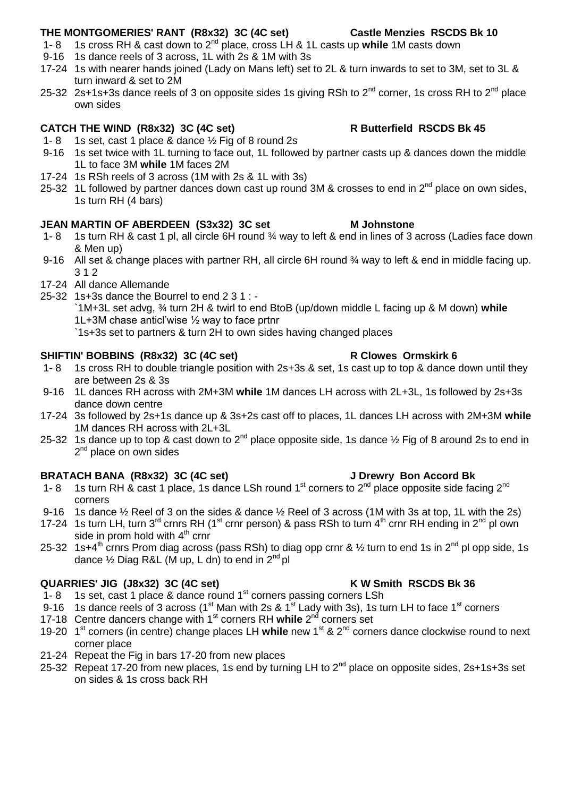### **THE MONTGOMERIES' RANT (R8x32) 3C (4C set) Castle Menzies RSCDS Bk 10**

- 1- 8 1s cross RH & cast down to 2nd place, cross LH & 1L casts up **while** 1M casts down
- 9-16 1s dance reels of 3 across, 1L with 2s & 1M with 3s
- 17-24 1s with nearer hands joined (Lady on Mans left) set to 2L & turn inwards to set to 3M, set to 3L & turn inward & set to 2M
- 25-32 2s+1s+3s dance reels of 3 on opposite sides 1s giving RSh to  $2^{nd}$  corner, 1s cross RH to  $2^{nd}$  place own sides

### **CATCH THE WIND (R8x32) 3C (4C set) R Butterfield RSCDS Bk 45**

- 1- 8 1s set, cast 1 place  $\&$  dance  $\frac{1}{2}$  Fig of 8 round 2s
- 9-16 1s set twice with 1L turning to face out, 1L followed by partner casts up & dances down the middle 1L to face 3M **while** 1M faces 2M
- 17-24 1s RSh reels of 3 across (1M with 2s & 1L with 3s)
- 25-32 1L followed by partner dances down cast up round 3M & crosses to end in  $2^{nd}$  place on own sides, 1s turn RH (4 bars)

### **JEAN MARTIN OF ABERDEEN (S3x32) 3C set M Johnstone**

- 1- 8 1s turn RH & cast 1 pl, all circle 6H round ¾ way to left & end in lines of 3 across (Ladies face down & Men up)
- 9-16 All set & change places with partner RH, all circle 6H round  $\frac{3}{4}$  way to left & end in middle facing up. 3 1 2
- 17-24 All dance Allemande
- 25-32 1s+3s dance the Bourrel to end 2 3 1 : -

`1M+3L set advg, ¾ turn 2H & twirl to end BtoB (up/down middle L facing up & M down) **while**  1L+3M chase anticl'wise ½ way to face prtnr

`1s+3s set to partners & turn 2H to own sides having changed places

### **SHIFTIN' BOBBINS (R8x32) 3C (4C set) R Clowes Ormskirk 6**

- 1- 8 1s cross RH to double triangle position with 2s+3s & set, 1s cast up to top & dance down until they are between 2s & 3s
- 9-16 1L dances RH across with 2M+3M **while** 1M dances LH across with 2L+3L, 1s followed by 2s+3s dance down centre
- 17-24 3s followed by 2s+1s dance up & 3s+2s cast off to places, 1L dances LH across with 2M+3M **while**  1M dances RH across with 2L+3L
- 25-32 1s dance up to top & cast down to  $2^{nd}$  place opposite side, 1s dance  $\frac{1}{2}$  Fig of 8 around 2s to end in 2<sup>nd</sup> place on own sides

### **BRATACH BANA (R8x32) 3C (4C set) J Drewry Bon Accord Bk**

- 1- 8 1s turn RH & cast 1 place, 1s dance LSh round 1<sup>st</sup> corners to  $2^{nd}$  place opposite side facing  $2^{nd}$ corners
- 9-16 1s dance ½ Reel of 3 on the sides & dance ½ Reel of 3 across (1M with 3s at top, 1L with the 2s)
- 17-24 1s turn LH, turn 3<sup>rd</sup> crnrs RH (1<sup>st</sup> crnr person) & pass RSh to turn 4<sup>th</sup> crnr RH ending in 2<sup>nd</sup> pl own side in prom hold with  $4<sup>th</sup>$  crnr
- 25-32 1s+4<sup>th</sup> crnrs Prom diag across (pass RSh) to diag opp crnr & 1/2 turn to end 1s in 2<sup>nd</sup> pl opp side, 1s dance  $\frac{1}{2}$  Diag R&L (M up, L dn) to end in  $2^{nd}$  pl

### **QUARRIES' JIG (J8x32) 3C (4C set) K W Smith RSCDS Bk 36**

- 1- 8 1s set, cast 1 place & dance round 1<sup>st</sup> corners passing corners LSh
- 9-16 1s dance reels of 3 across (1st Man with 2s  $\&$  1st Lady with 3s), 1s turn LH to face 1st corners
- 17-18 Centre dancers change with 1<sup>st</sup> corners RH while 2<sup>nd</sup> corners set
- 19-20 1<sup>st</sup> corners (in centre) change places LH while new 1<sup>st</sup> & 2<sup>nd</sup> corners dance clockwise round to next corner place
- 21-24 Repeat the Fig in bars 17-20 from new places
- 25-32 Repeat 17-20 from new places, 1s end by turning LH to  $2^{nd}$  place on opposite sides,  $2s+1s+3s$  set on sides & 1s cross back RH